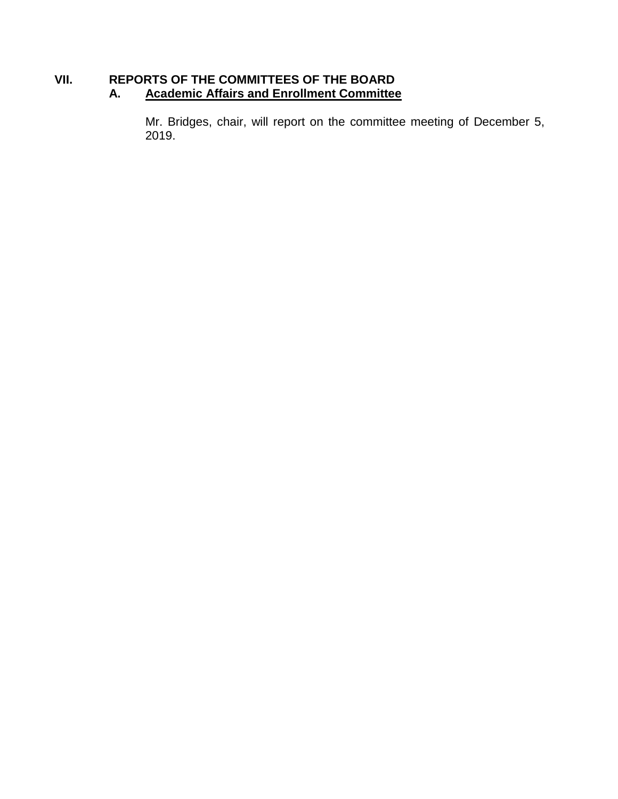## **VII. REPORTS OF THE COMMITTEES OF THE BOARD A. Academic Affairs and Enrollment Committee**

Mr. Bridges, chair, will report on the committee meeting of December 5, 2019.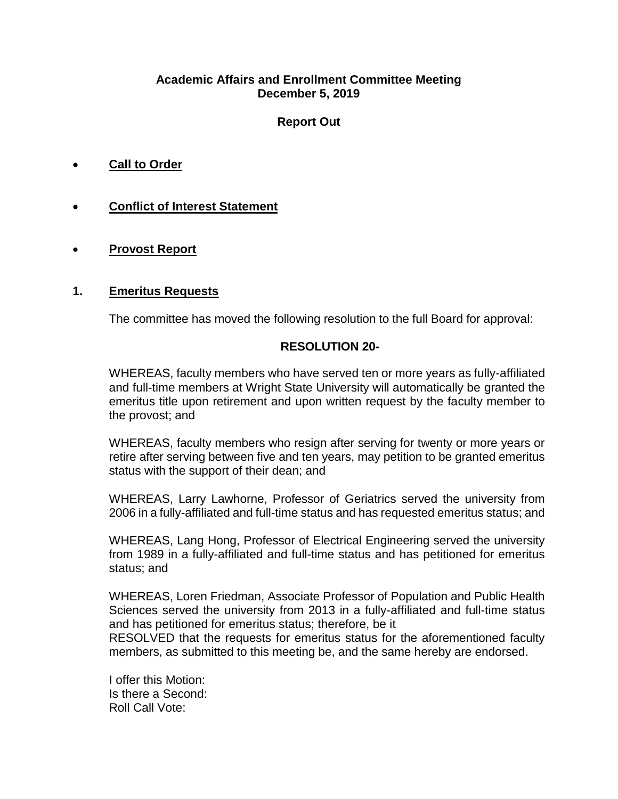#### **Academic Affairs and Enrollment Committee Meeting December 5, 2019**

# **Report Out**

- **Call to Order**
- **Conflict of Interest Statement**
- **Provost Report**

#### **1. Emeritus Requests**

The committee has moved the following resolution to the full Board for approval:

#### **RESOLUTION 20-**

WHEREAS, faculty members who have served ten or more years as fully-affiliated and full-time members at Wright State University will automatically be granted the emeritus title upon retirement and upon written request by the faculty member to the provost; and

WHEREAS, faculty members who resign after serving for twenty or more years or retire after serving between five and ten years, may petition to be granted emeritus status with the support of their dean; and

WHEREAS, Larry Lawhorne, Professor of Geriatrics served the university from 2006 in a fully-affiliated and full-time status and has requested emeritus status; and

WHEREAS, Lang Hong, Professor of Electrical Engineering served the university from 1989 in a fully-affiliated and full-time status and has petitioned for emeritus status; and

WHEREAS, Loren Friedman, Associate Professor of Population and Public Health Sciences served the university from 2013 in a fully-affiliated and full-time status and has petitioned for emeritus status; therefore, be it

RESOLVED that the requests for emeritus status for the aforementioned faculty members, as submitted to this meeting be, and the same hereby are endorsed.

I offer this Motion: Is there a Second: Roll Call Vote: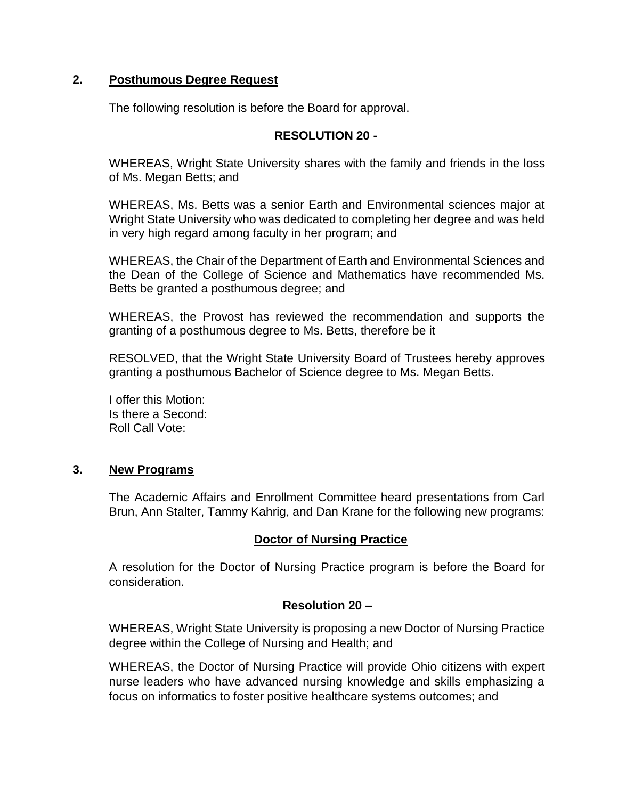### **2. Posthumous Degree Request**

The following resolution is before the Board for approval.

# **RESOLUTION 20 -**

WHEREAS, Wright State University shares with the family and friends in the loss of Ms. Megan Betts; and

WHEREAS, Ms. Betts was a senior Earth and Environmental sciences major at Wright State University who was dedicated to completing her degree and was held in very high regard among faculty in her program; and

WHEREAS, the Chair of the Department of Earth and Environmental Sciences and the Dean of the College of Science and Mathematics have recommended Ms. Betts be granted a posthumous degree; and

WHEREAS, the Provost has reviewed the recommendation and supports the granting of a posthumous degree to Ms. Betts, therefore be it

RESOLVED, that the Wright State University Board of Trustees hereby approves granting a posthumous Bachelor of Science degree to Ms. Megan Betts.

I offer this Motion: Is there a Second: Roll Call Vote:

#### **3. New Programs**

The Academic Affairs and Enrollment Committee heard presentations from Carl Brun, Ann Stalter, Tammy Kahrig, and Dan Krane for the following new programs:

# **Doctor of Nursing Practice**

A resolution for the Doctor of Nursing Practice program is before the Board for consideration.

#### **Resolution 20 –**

WHEREAS, Wright State University is proposing a new Doctor of Nursing Practice degree within the College of Nursing and Health; and

WHEREAS, the Doctor of Nursing Practice will provide Ohio citizens with expert nurse leaders who have advanced nursing knowledge and skills emphasizing a focus on informatics to foster positive healthcare systems outcomes; and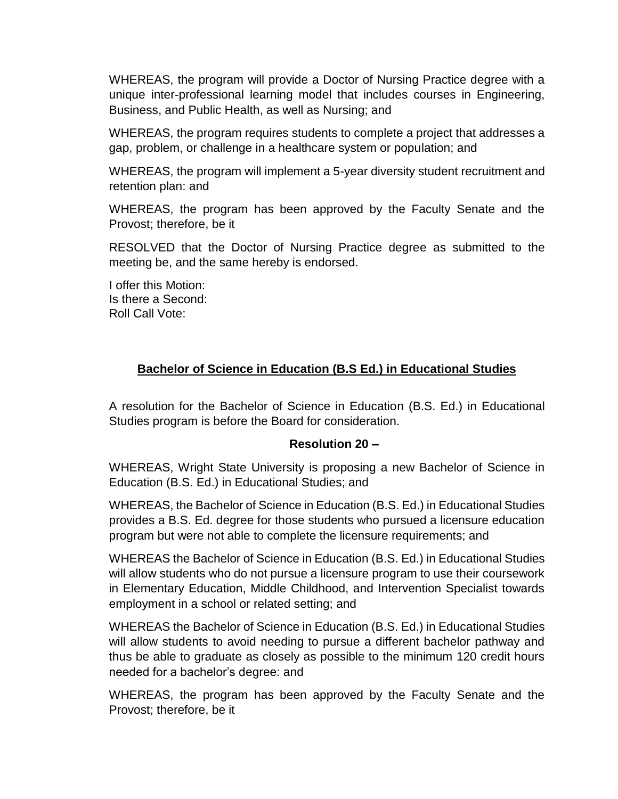WHEREAS, the program will provide a Doctor of Nursing Practice degree with a unique inter-professional learning model that includes courses in Engineering, Business, and Public Health, as well as Nursing; and

WHEREAS, the program requires students to complete a project that addresses a gap, problem, or challenge in a healthcare system or population; and

WHEREAS, the program will implement a 5-year diversity student recruitment and retention plan: and

WHEREAS, the program has been approved by the Faculty Senate and the Provost; therefore, be it

RESOLVED that the Doctor of Nursing Practice degree as submitted to the meeting be, and the same hereby is endorsed.

I offer this Motion: Is there a Second: Roll Call Vote:

# **Bachelor of Science in Education (B.S Ed.) in Educational Studies**

A resolution for the Bachelor of Science in Education (B.S. Ed.) in Educational Studies program is before the Board for consideration.

#### **Resolution 20 –**

WHEREAS, Wright State University is proposing a new Bachelor of Science in Education (B.S. Ed.) in Educational Studies; and

WHEREAS, the Bachelor of Science in Education (B.S. Ed.) in Educational Studies provides a B.S. Ed. degree for those students who pursued a licensure education program but were not able to complete the licensure requirements; and

WHEREAS the Bachelor of Science in Education (B.S. Ed.) in Educational Studies will allow students who do not pursue a licensure program to use their coursework in Elementary Education, Middle Childhood, and Intervention Specialist towards employment in a school or related setting; and

WHEREAS the Bachelor of Science in Education (B.S. Ed.) in Educational Studies will allow students to avoid needing to pursue a different bachelor pathway and thus be able to graduate as closely as possible to the minimum 120 credit hours needed for a bachelor's degree: and

WHEREAS, the program has been approved by the Faculty Senate and the Provost; therefore, be it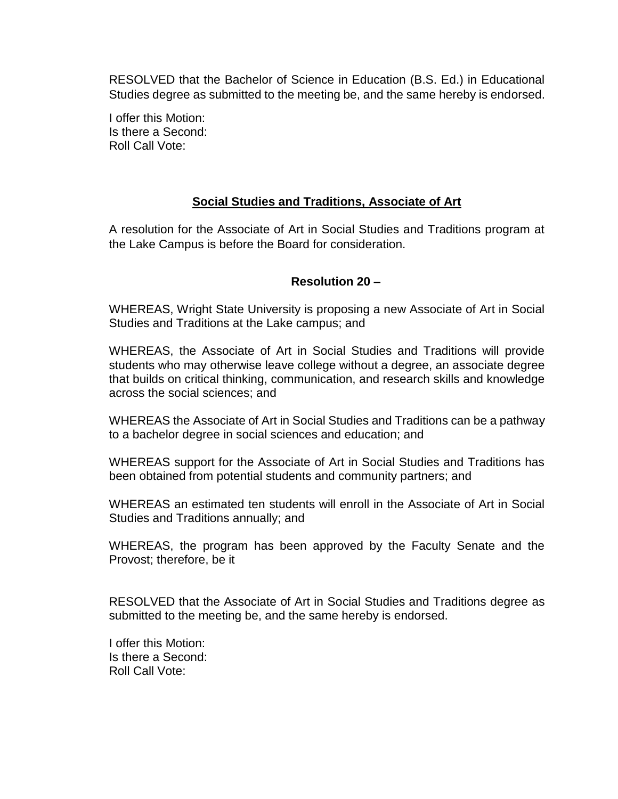RESOLVED that the Bachelor of Science in Education (B.S. Ed.) in Educational Studies degree as submitted to the meeting be, and the same hereby is endorsed.

I offer this Motion: Is there a Second: Roll Call Vote:

#### **Social Studies and Traditions, Associate of Art**

A resolution for the Associate of Art in Social Studies and Traditions program at the Lake Campus is before the Board for consideration.

## **Resolution 20 –**

WHEREAS, Wright State University is proposing a new Associate of Art in Social Studies and Traditions at the Lake campus; and

WHEREAS, the Associate of Art in Social Studies and Traditions will provide students who may otherwise leave college without a degree, an associate degree that builds on critical thinking, communication, and research skills and knowledge across the social sciences; and

WHEREAS the Associate of Art in Social Studies and Traditions can be a pathway to a bachelor degree in social sciences and education; and

WHEREAS support for the Associate of Art in Social Studies and Traditions has been obtained from potential students and community partners; and

WHEREAS an estimated ten students will enroll in the Associate of Art in Social Studies and Traditions annually; and

WHEREAS, the program has been approved by the Faculty Senate and the Provost; therefore, be it

RESOLVED that the Associate of Art in Social Studies and Traditions degree as submitted to the meeting be, and the same hereby is endorsed.

I offer this Motion: Is there a Second: Roll Call Vote: